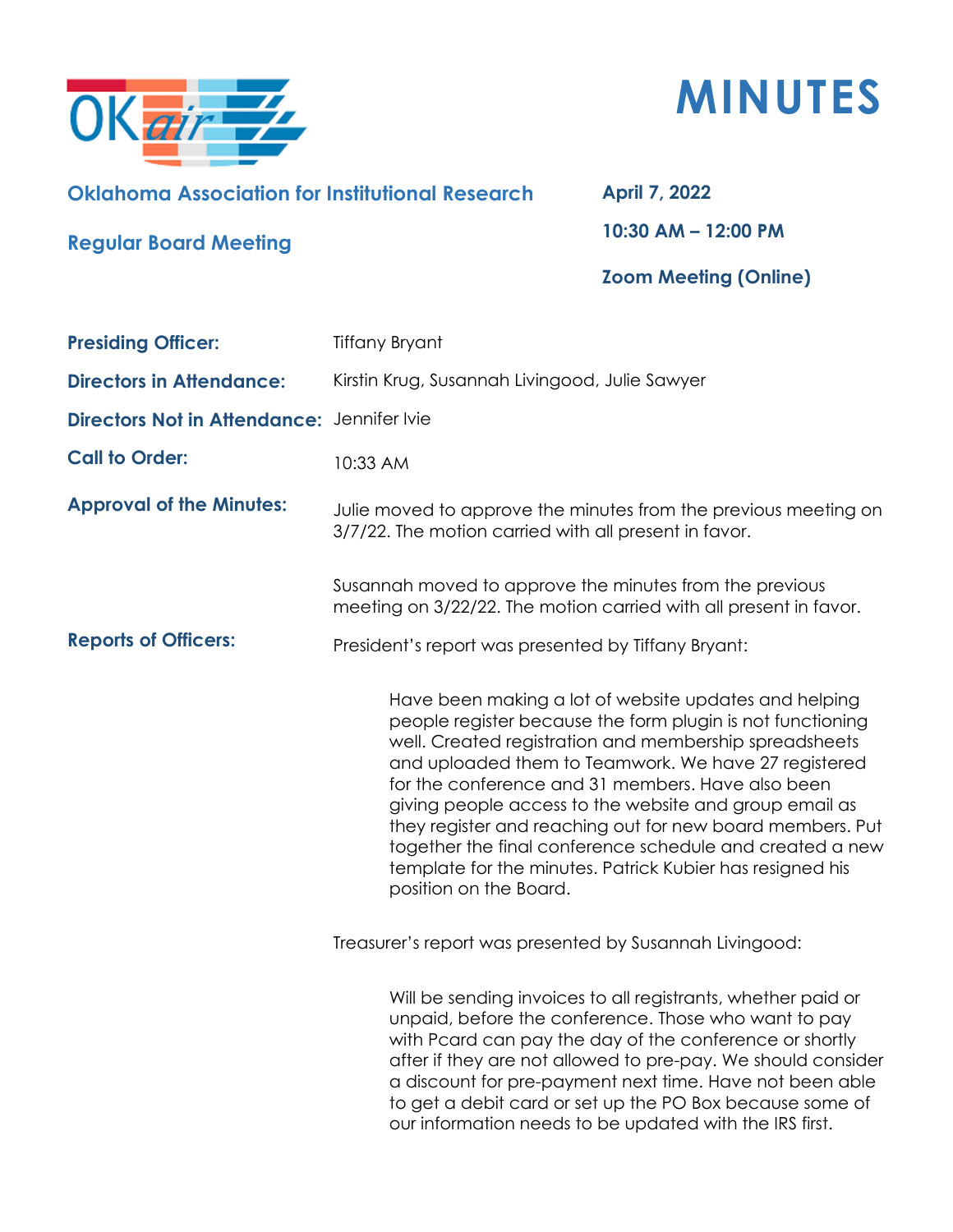



## **Oklahoma Association for Institutional Research**

## **April 7, 2022**

**Regular Board Meeting**

**10:30 AM – 12:00 PM**

## **Zoom Meeting (Online)**

| <b>Presiding Officer:</b>                  | <b>Tiffany Bryant</b>                                                                                                                                                                                                                                                                                                                                                                                                                                                                                                                                                |
|--------------------------------------------|----------------------------------------------------------------------------------------------------------------------------------------------------------------------------------------------------------------------------------------------------------------------------------------------------------------------------------------------------------------------------------------------------------------------------------------------------------------------------------------------------------------------------------------------------------------------|
| <b>Directors in Attendance:</b>            | Kirstin Krug, Susannah Livingood, Julie Sawyer                                                                                                                                                                                                                                                                                                                                                                                                                                                                                                                       |
| Directors Not in Attendance: Jennifer Ivie |                                                                                                                                                                                                                                                                                                                                                                                                                                                                                                                                                                      |
| <b>Call to Order:</b>                      | 10:33 AM                                                                                                                                                                                                                                                                                                                                                                                                                                                                                                                                                             |
| <b>Approval of the Minutes:</b>            | Julie moved to approve the minutes from the previous meeting on<br>3/7/22. The motion carried with all present in favor.                                                                                                                                                                                                                                                                                                                                                                                                                                             |
|                                            | Susannah moved to approve the minutes from the previous<br>meeting on 3/22/22. The motion carried with all present in favor.                                                                                                                                                                                                                                                                                                                                                                                                                                         |
| <b>Reports of Officers:</b>                | President's report was presented by Tiffany Bryant:                                                                                                                                                                                                                                                                                                                                                                                                                                                                                                                  |
|                                            | Have been making a lot of website updates and helping<br>people register because the form plugin is not functioning<br>well. Created registration and membership spreadsheets<br>and uploaded them to Teamwork. We have 27 registered<br>for the conference and 31 members. Have also been<br>giving people access to the website and group email as<br>they register and reaching out for new board members. Put<br>together the final conference schedule and created a new<br>template for the minutes. Patrick Kubier has resigned his<br>position on the Board. |
|                                            | Treasurer's report was presented by Susannah Livingood:                                                                                                                                                                                                                                                                                                                                                                                                                                                                                                              |
|                                            | Will be sending invoices to all registrants, whether paid or<br>unpaid, before the conference. Those who want to pay<br>with Pcard can pay the day of the conference or shortly<br>after if they are not allowed to pre-pay. We should consider<br>a discount for pre-payment next time. Have not been able<br>to get a debit card or set up the PO Box because some of<br>our information needs to be updated with the IRS first.                                                                                                                                   |